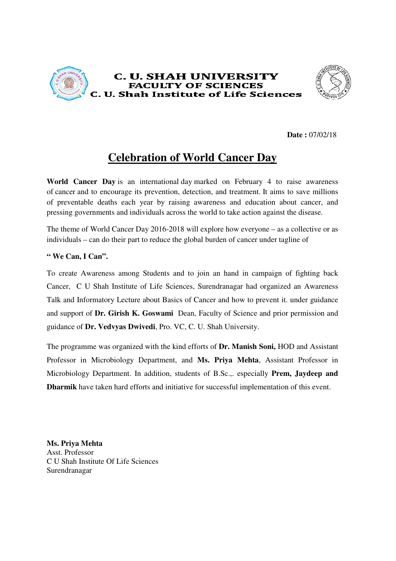



**Date :** 07/02/18

## **Celebration of World Cancer Day**

World Cancer Day is an international day marked on February 4 to raise awareness of cancer and to encourage its prevention, detection, and treatment. It aims to save millions of preventable deaths each year by raising awareness and education about cancer, and of preventable deaths each year by raising awareness and education about cancer, pressing governments and individuals across the world to take action against the disease.

The theme of World Cancer Day 2016 2016-2018 will explore how everyone – as a collective or as individuals – can do their part to reduce the global burden of cancer under tagline of

## **" We Can, I Can".**

To create Awareness among Students and to join an hand in campaign of fighting back To create Awareness among Students and to join an hand in campaign of fig<br>Cancer, C U Shah Institute of Life Sciences, Surendranagar had organized an Talk and Informatory Lecture about Basics of Cancer and how to prevent it. under guidance Talk and Informatory Lecture about Basics of Cancer and how to prevent it. under guidance<br>and support of Dr. Girish K. Goswami Dean, Faculty of Science and prior permission and guidance of **Dr. Vedvyas Dwivedi** , Pro. VC, C. U. Shah University. education about cancer, and<br>ction against the disease.<br>veryone – as a collective or as<br>ncer under tagline of<br>n campaign of fighting back<br>had organized an Awareness

The programme was organized with the kind efforts of Dr. Manish Soni, HOD and Assistant Professor in Microbiology Department, and **Ms. Priya Mehta**, Assistant Professor in Microbiology Department. In addition, students of B.Sc.,. especially **Prem, Jaydeep and Dharmik** have taken hard efforts and initiative for successful implementation of this event.

**Ms. Priya Mehta**  Asst. Professor C U Shah Institute Of Life Sciences Surendranagar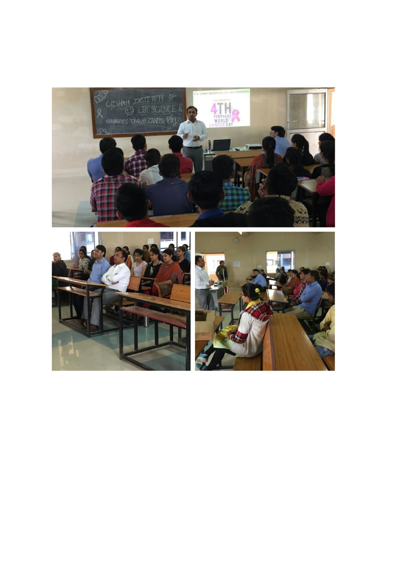